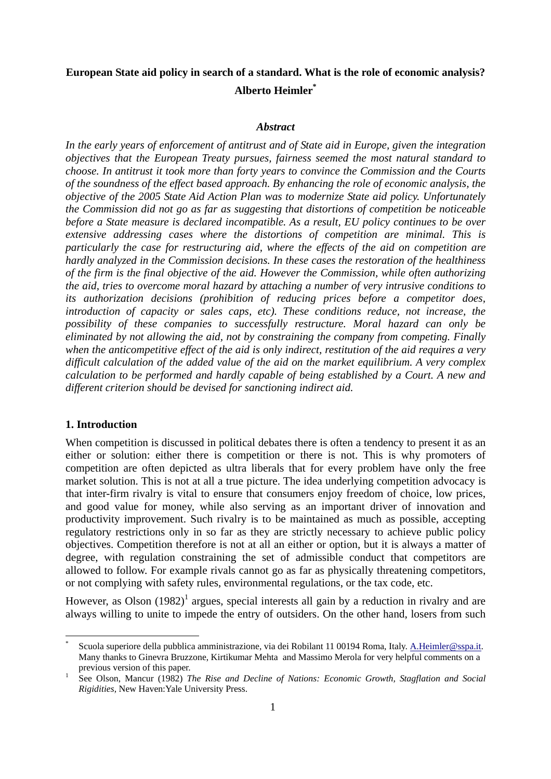# **European State aid policy in search of a standard. What is the role of economic analysis? Alberto Heimler\***

#### *Abstract*

*In the early years of enforcement of antitrust and of State aid in Europe, given the integration objectives that the European Treaty pursues, fairness seemed the most natural standard to choose. In antitrust it took more than forty years to convince the Commission and the Courts of the soundness of the effect based approach. By enhancing the role of economic analysis, the objective of the 2005 State Aid Action Plan was to modernize State aid policy. Unfortunately the Commission did not go as far as suggesting that distortions of competition be noticeable before a State measure is declared incompatible. As a result, EU policy continues to be over extensive addressing cases where the distortions of competition are minimal. This is particularly the case for restructuring aid, where the effects of the aid on competition are hardly analyzed in the Commission decisions. In these cases the restoration of the healthiness of the firm is the final objective of the aid. However the Commission, while often authorizing the aid, tries to overcome moral hazard by attaching a number of very intrusive conditions to its authorization decisions (prohibition of reducing prices before a competitor does, introduction of capacity or sales caps, etc). These conditions reduce, not increase, the possibility of these companies to successfully restructure. Moral hazard can only be eliminated by not allowing the aid, not by constraining the company from competing. Finally when the anticompetitive effect of the aid is only indirect, restitution of the aid requires a very difficult calculation of the added value of the aid on the market equilibrium. A very complex calculation to be performed and hardly capable of being established by a Court. A new and different criterion should be devised for sanctioning indirect aid.* 

### **1. Introduction**

<u>.</u>

When competition is discussed in political debates there is often a tendency to present it as an either or solution: either there is competition or there is not. This is why promoters of competition are often depicted as ultra liberals that for every problem have only the free market solution. This is not at all a true picture. The idea underlying competition advocacy is that inter-firm rivalry is vital to ensure that consumers enjoy freedom of choice, low prices, and good value for money, while also serving as an important driver of innovation and productivity improvement. Such rivalry is to be maintained as much as possible, accepting regulatory restrictions only in so far as they are strictly necessary to achieve public policy objectives. Competition therefore is not at all an either or option, but it is always a matter of degree, with regulation constraining the set of admissible conduct that competitors are allowed to follow. For example rivals cannot go as far as physically threatening competitors, or not complying with safety rules, environmental regulations, or the tax code, etc.

However, as Olson  $(1982)^1$  argues, special interests all gain by a reduction in rivalry and are always willing to unite to impede the entry of outsiders. On the other hand, losers from such

<sup>\*</sup> Scuola superiore della pubblica amministrazione, via dei Robilant 11 00194 Roma, Italy. A.Heimler@sspa.it. Many thanks to Ginevra Bruzzone, Kirtikumar Mehta and Massimo Merola for very helpful comments on a previous version of this paper. 1

See Olson, Mancur (1982) *The Rise and Decline of Nations: Economic Growth, Stagflation and Social Rigidities,* New Haven:Yale University Press.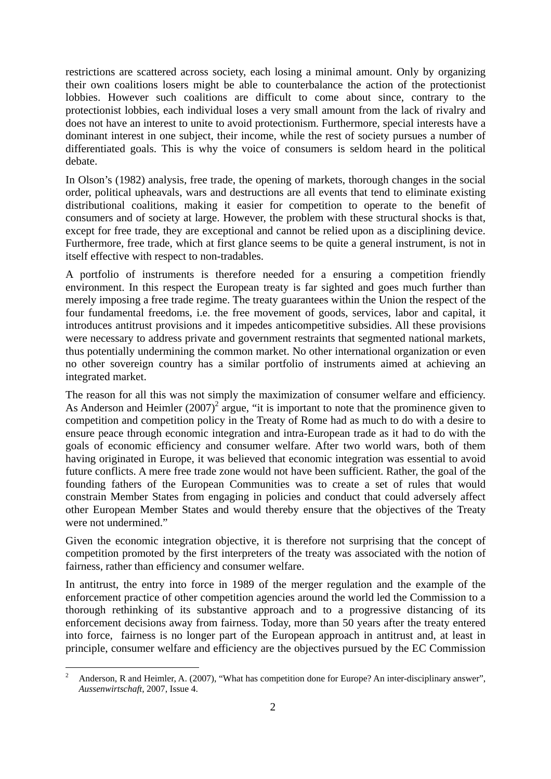restrictions are scattered across society, each losing a minimal amount. Only by organizing their own coalitions losers might be able to counterbalance the action of the protectionist lobbies. However such coalitions are difficult to come about since, contrary to the protectionist lobbies, each individual loses a very small amount from the lack of rivalry and does not have an interest to unite to avoid protectionism. Furthermore, special interests have a dominant interest in one subject, their income, while the rest of society pursues a number of differentiated goals. This is why the voice of consumers is seldom heard in the political debate.

In Olson's (1982) analysis, free trade, the opening of markets, thorough changes in the social order, political upheavals, wars and destructions are all events that tend to eliminate existing distributional coalitions, making it easier for competition to operate to the benefit of consumers and of society at large. However, the problem with these structural shocks is that, except for free trade, they are exceptional and cannot be relied upon as a disciplining device. Furthermore, free trade, which at first glance seems to be quite a general instrument, is not in itself effective with respect to non-tradables.

A portfolio of instruments is therefore needed for a ensuring a competition friendly environment. In this respect the European treaty is far sighted and goes much further than merely imposing a free trade regime. The treaty guarantees within the Union the respect of the four fundamental freedoms, i.e. the free movement of goods, services, labor and capital, it introduces antitrust provisions and it impedes anticompetitive subsidies. All these provisions were necessary to address private and government restraints that segmented national markets, thus potentially undermining the common market. No other international organization or even no other sovereign country has a similar portfolio of instruments aimed at achieving an integrated market.

The reason for all this was not simply the maximization of consumer welfare and efficiency. As Anderson and Heimler  $(2007)^2$  argue, "it is important to note that the prominence given to competition and competition policy in the Treaty of Rome had as much to do with a desire to ensure peace through economic integration and intra-European trade as it had to do with the goals of economic efficiency and consumer welfare. After two world wars, both of them having originated in Europe, it was believed that economic integration was essential to avoid future conflicts. A mere free trade zone would not have been sufficient. Rather, the goal of the founding fathers of the European Communities was to create a set of rules that would constrain Member States from engaging in policies and conduct that could adversely affect other European Member States and would thereby ensure that the objectives of the Treaty were not undermined."

Given the economic integration objective, it is therefore not surprising that the concept of competition promoted by the first interpreters of the treaty was associated with the notion of fairness, rather than efficiency and consumer welfare.

In antitrust, the entry into force in 1989 of the merger regulation and the example of the enforcement practice of other competition agencies around the world led the Commission to a thorough rethinking of its substantive approach and to a progressive distancing of its enforcement decisions away from fairness. Today, more than 50 years after the treaty entered into force, fairness is no longer part of the European approach in antitrust and, at least in principle, consumer welfare and efficiency are the objectives pursued by the EC Commission

<sup>2</sup> Anderson, R and Heimler, A. (2007), "What has competition done for Europe? An inter-disciplinary answer", *Aussenwirtschaft*, 2007, Issue 4.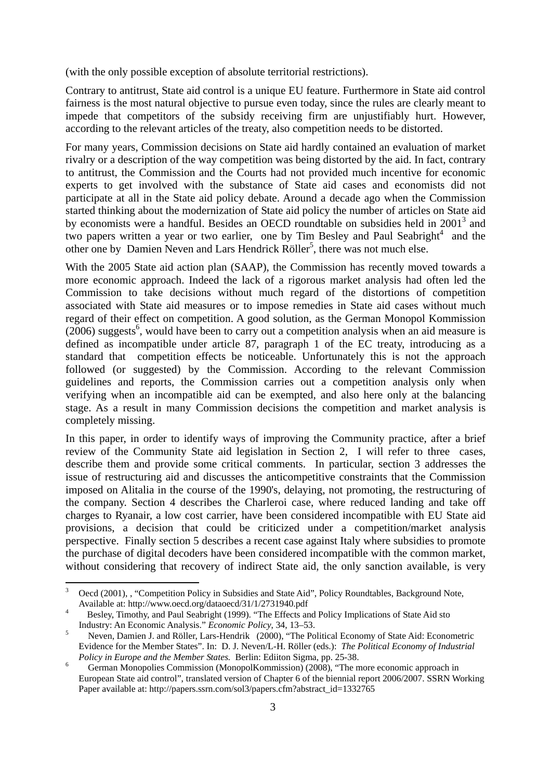(with the only possible exception of absolute territorial restrictions).

Contrary to antitrust, State aid control is a unique EU feature. Furthermore in State aid control fairness is the most natural objective to pursue even today, since the rules are clearly meant to impede that competitors of the subsidy receiving firm are unjustifiably hurt. However, according to the relevant articles of the treaty, also competition needs to be distorted.

For many years, Commission decisions on State aid hardly contained an evaluation of market rivalry or a description of the way competition was being distorted by the aid. In fact, contrary to antitrust, the Commission and the Courts had not provided much incentive for economic experts to get involved with the substance of State aid cases and economists did not participate at all in the State aid policy debate. Around a decade ago when the Commission started thinking about the modernization of State aid policy the number of articles on State aid by economists were a handful. Besides an OECD roundtable on subsidies held in 2001<sup>3</sup> and two papers written a year or two earlier, one by Tim Besley and Paul Seabright<sup>4</sup> and the other one by Damien Neven and Lars Hendrick Röller<sup>5</sup>, there was not much else.

With the 2005 State aid action plan (SAAP), the Commission has recently moved towards a more economic approach. Indeed the lack of a rigorous market analysis had often led the Commission to take decisions without much regard of the distortions of competition associated with State aid measures or to impose remedies in State aid cases without much regard of their effect on competition. A good solution, as the German Monopol Kommission  $(2006)$  suggests<sup>6</sup>, would have been to carry out a competition analysis when an aid measure is defined as incompatible under article 87, paragraph 1 of the EC treaty, introducing as a standard that competition effects be noticeable. Unfortunately this is not the approach followed (or suggested) by the Commission. According to the relevant Commission guidelines and reports, the Commission carries out a competition analysis only when verifying when an incompatible aid can be exempted, and also here only at the balancing stage. As a result in many Commission decisions the competition and market analysis is completely missing.

In this paper, in order to identify ways of improving the Community practice, after a brief review of the Community State aid legislation in Section 2, I will refer to three cases, describe them and provide some critical comments. In particular, section 3 addresses the issue of restructuring aid and discusses the anticompetitive constraints that the Commission imposed on Alitalia in the course of the 1990's, delaying, not promoting, the restructuring of the company. Section 4 describes the Charleroi case, where reduced landing and take off charges to Ryanair, a low cost carrier, have been considered incompatible with EU State aid provisions, a decision that could be criticized under a competition/market analysis perspective. Finally section 5 describes a recent case against Italy where subsidies to promote the purchase of digital decoders have been considered incompatible with the common market, without considering that recovery of indirect State aid, the only sanction available, is very

<sup>3</sup> Oecd (2001), , "Competition Policy in Subsidies and State Aid", Policy Roundtables, Background Note, Available at: http://www.oecd.org/dataoecd/31/1/2731940.pdf 4

Besley, Timothy, and Paul Seabright (1999). "The Effects and Policy Implications of State Aid sto Industry: An Economic Analysis." *Economic Policy*, 34, 13–53. 5

Neven, Damien J. and Röller, Lars-Hendrik(2000), "The Political Economy of State Aid: Econometric Evidence for the Member States". In: D. J. Neven/L-H. Röller (eds.): *The Political Economy of Industrial Policy in Europe and the Member States.* Berlin: Ediiton Sigma, pp. 25-38.

German Monopolies Commission (MonopolKommission) (2008), "The more economic approach in European State aid control", translated version of Chapter 6 of the biennial report 2006/2007. SSRN Working Paper available at: http://papers.ssrn.com/sol3/papers.cfm?abstract\_id=1332765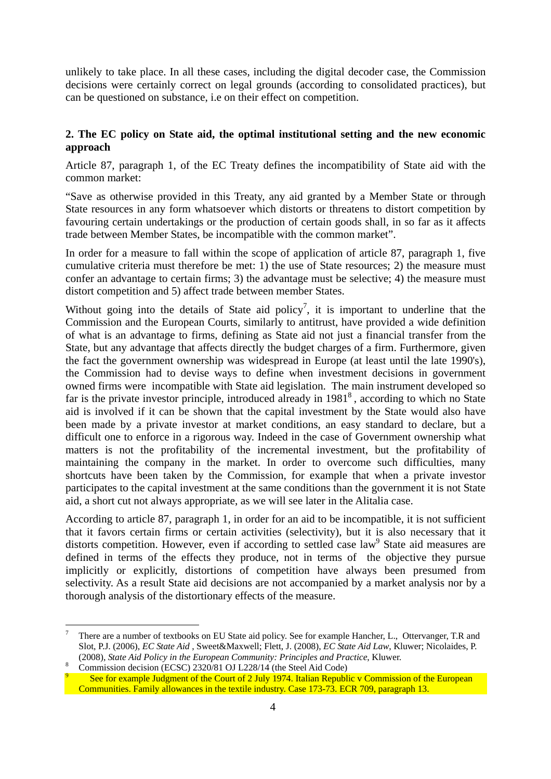unlikely to take place. In all these cases, including the digital decoder case, the Commission decisions were certainly correct on legal grounds (according to consolidated practices), but can be questioned on substance, i.e on their effect on competition.

## **2. The EC policy on State aid, the optimal institutional setting and the new economic approach**

Article 87, paragraph 1, of the EC Treaty defines the incompatibility of State aid with the common market:

"Save as otherwise provided in this Treaty, any aid granted by a Member State or through State resources in any form whatsoever which distorts or threatens to distort competition by favouring certain undertakings or the production of certain goods shall, in so far as it affects trade between Member States, be incompatible with the common market".

In order for a measure to fall within the scope of application of article 87, paragraph 1, five cumulative criteria must therefore be met: 1) the use of State resources; 2) the measure must confer an advantage to certain firms; 3) the advantage must be selective; 4) the measure must distort competition and 5) affect trade between member States.

Without going into the details of State aid policy<sup>7</sup>, it is important to underline that the Commission and the European Courts, similarly to antitrust, have provided a wide definition of what is an advantage to firms, defining as State aid not just a financial transfer from the State, but any advantage that affects directly the budget charges of a firm. Furthermore, given the fact the government ownership was widespread in Europe (at least until the late 1990's), the Commission had to devise ways to define when investment decisions in government owned firms were incompatible with State aid legislation. The main instrument developed so far is the private investor principle, introduced already in 1981<sup>8</sup>, according to which no State aid is involved if it can be shown that the capital investment by the State would also have been made by a private investor at market conditions, an easy standard to declare, but a difficult one to enforce in a rigorous way. Indeed in the case of Government ownership what matters is not the profitability of the incremental investment, but the profitability of maintaining the company in the market. In order to overcome such difficulties, many shortcuts have been taken by the Commission, for example that when a private investor participates to the capital investment at the same conditions than the government it is not State aid, a short cut not always appropriate, as we will see later in the Alitalia case.

According to article 87, paragraph 1, in order for an aid to be incompatible, it is not sufficient that it favors certain firms or certain activities (selectivity), but it is also necessary that it distorts competition. However, even if according to settled case law<sup>9</sup> State aid measures are defined in terms of the effects they produce, not in terms of the objective they pursue implicitly or explicitly, distortions of competition have always been presumed from selectivity. As a result State aid decisions are not accompanied by a market analysis nor by a thorough analysis of the distortionary effects of the measure.

<sup>7</sup> There are a number of textbooks on EU State aid policy. See for example Hancher, L., Ottervanger, T.R and Slot, P.J. (2006), *EC State Aid* , Sweet&Maxwell; Flett, J. (2008), *EC State Aid Law*, Kluwer; Nicolaides, P. (2008), *State Aid Policy in the European Community: Principles and Practice*, Kluwer.

Commission decision (ECSC) 2320/81 OJ L228/14 (the Steel Aid Code)

<sup>9</sup> See for example Judgment of the Court of 2 July 1974. Italian Republic v Commission of the European Communities. Family allowances in the textile industry. Case 173-73. ECR 709, paragraph 13.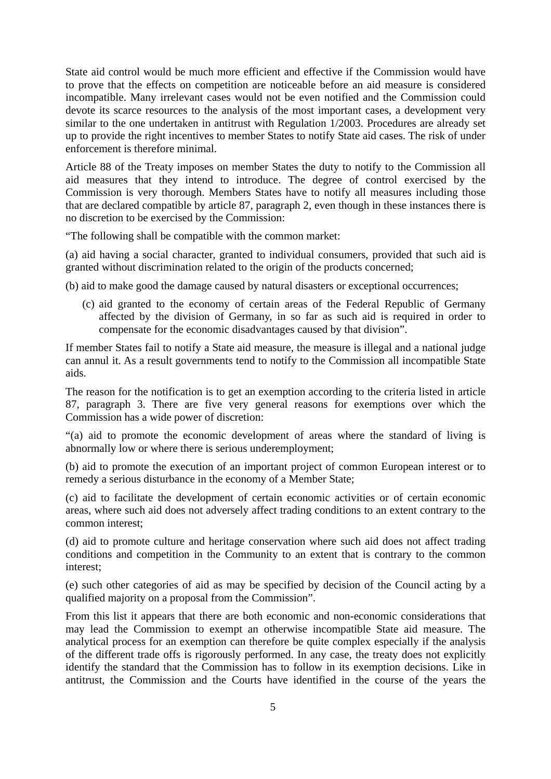State aid control would be much more efficient and effective if the Commission would have to prove that the effects on competition are noticeable before an aid measure is considered incompatible. Many irrelevant cases would not be even notified and the Commission could devote its scarce resources to the analysis of the most important cases, a development very similar to the one undertaken in antitrust with Regulation 1/2003. Procedures are already set up to provide the right incentives to member States to notify State aid cases. The risk of under enforcement is therefore minimal.

Article 88 of the Treaty imposes on member States the duty to notify to the Commission all aid measures that they intend to introduce. The degree of control exercised by the Commission is very thorough. Members States have to notify all measures including those that are declared compatible by article 87, paragraph 2, even though in these instances there is no discretion to be exercised by the Commission:

"The following shall be compatible with the common market:

(a) aid having a social character, granted to individual consumers, provided that such aid is granted without discrimination related to the origin of the products concerned;

(b) aid to make good the damage caused by natural disasters or exceptional occurrences;

(c) aid granted to the economy of certain areas of the Federal Republic of Germany affected by the division of Germany, in so far as such aid is required in order to compensate for the economic disadvantages caused by that division".

If member States fail to notify a State aid measure, the measure is illegal and a national judge can annul it. As a result governments tend to notify to the Commission all incompatible State aids.

The reason for the notification is to get an exemption according to the criteria listed in article 87, paragraph 3. There are five very general reasons for exemptions over which the Commission has a wide power of discretion:

"(a) aid to promote the economic development of areas where the standard of living is abnormally low or where there is serious underemployment;

(b) aid to promote the execution of an important project of common European interest or to remedy a serious disturbance in the economy of a Member State;

(c) aid to facilitate the development of certain economic activities or of certain economic areas, where such aid does not adversely affect trading conditions to an extent contrary to the common interest;

(d) aid to promote culture and heritage conservation where such aid does not affect trading conditions and competition in the Community to an extent that is contrary to the common interest;

(e) such other categories of aid as may be specified by decision of the Council acting by a qualified majority on a proposal from the Commission".

From this list it appears that there are both economic and non-economic considerations that may lead the Commission to exempt an otherwise incompatible State aid measure. The analytical process for an exemption can therefore be quite complex especially if the analysis of the different trade offs is rigorously performed. In any case, the treaty does not explicitly identify the standard that the Commission has to follow in its exemption decisions. Like in antitrust, the Commission and the Courts have identified in the course of the years the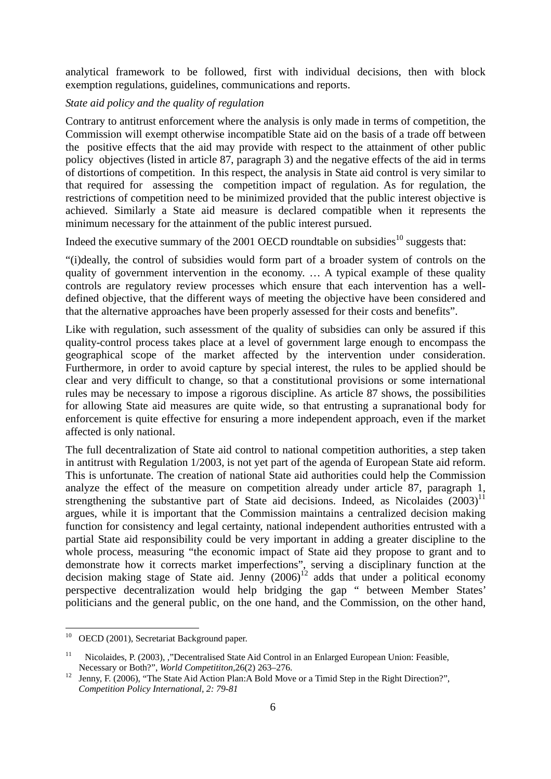analytical framework to be followed, first with individual decisions, then with block exemption regulations, guidelines, communications and reports.

### *State aid policy and the quality of regulation*

Contrary to antitrust enforcement where the analysis is only made in terms of competition, the Commission will exempt otherwise incompatible State aid on the basis of a trade off between the positive effects that the aid may provide with respect to the attainment of other public policy objectives (listed in article 87, paragraph 3) and the negative effects of the aid in terms of distortions of competition. In this respect, the analysis in State aid control is very similar to that required for assessing the competition impact of regulation. As for regulation, the restrictions of competition need to be minimized provided that the public interest objective is achieved. Similarly a State aid measure is declared compatible when it represents the minimum necessary for the attainment of the public interest pursued.

Indeed the executive summary of the  $2001$  OECD roundtable on subsidies<sup>10</sup> suggests that:

"(i)deally, the control of subsidies would form part of a broader system of controls on the quality of government intervention in the economy. … A typical example of these quality controls are regulatory review processes which ensure that each intervention has a welldefined objective, that the different ways of meeting the objective have been considered and that the alternative approaches have been properly assessed for their costs and benefits".

Like with regulation, such assessment of the quality of subsidies can only be assured if this quality-control process takes place at a level of government large enough to encompass the geographical scope of the market affected by the intervention under consideration. Furthermore, in order to avoid capture by special interest, the rules to be applied should be clear and very difficult to change, so that a constitutional provisions or some international rules may be necessary to impose a rigorous discipline. As article 87 shows, the possibilities for allowing State aid measures are quite wide, so that entrusting a supranational body for enforcement is quite effective for ensuring a more independent approach, even if the market affected is only national.

The full decentralization of State aid control to national competition authorities, a step taken in antitrust with Regulation 1/2003, is not yet part of the agenda of European State aid reform. This is unfortunate. The creation of national State aid authorities could help the Commission analyze the effect of the measure on competition already under article 87, paragraph 1, strengthening the substantive part of State aid decisions. Indeed, as Nicolaides  $(2003)^{11}$ argues, while it is important that the Commission maintains a centralized decision making function for consistency and legal certainty, national independent authorities entrusted with a partial State aid responsibility could be very important in adding a greater discipline to the whole process, measuring "the economic impact of State aid they propose to grant and to demonstrate how it corrects market imperfections", serving a disciplinary function at the decision making stage of State aid. Jenny  $(2006)^{12}$  adds that under a political economy perspective decentralization would help bridging the gap " between Member States' politicians and the general public, on the one hand, and the Commission, on the other hand,

<sup>&</sup>lt;sup>10</sup> OECD (2001), Secretariat Background paper.

<sup>&</sup>lt;sup>11</sup> Nicolaides, P. (2003), ,"Decentralised State Aid Control in an Enlarged European Union: Feasible, Necessary or Both?", *World Competititon*, 26(2) 263–276.<br><sup>12</sup> Jenny, F. (2006), "The State Aid Action Plan:A Bold Move or a Timid Step in the Right Direction?",

*Competition Policy International, 2: 79-81*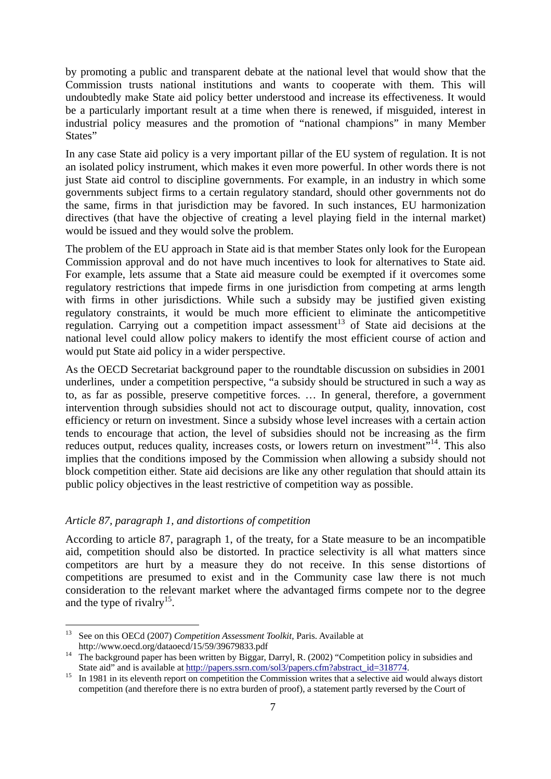by promoting a public and transparent debate at the national level that would show that the Commission trusts national institutions and wants to cooperate with them. This will undoubtedly make State aid policy better understood and increase its effectiveness. It would be a particularly important result at a time when there is renewed, if misguided, interest in industrial policy measures and the promotion of "national champions" in many Member States"

In any case State aid policy is a very important pillar of the EU system of regulation. It is not an isolated policy instrument, which makes it even more powerful. In other words there is not just State aid control to discipline governments. For example, in an industry in which some governments subject firms to a certain regulatory standard, should other governments not do the same, firms in that jurisdiction may be favored. In such instances, EU harmonization directives (that have the objective of creating a level playing field in the internal market) would be issued and they would solve the problem.

The problem of the EU approach in State aid is that member States only look for the European Commission approval and do not have much incentives to look for alternatives to State aid. For example, lets assume that a State aid measure could be exempted if it overcomes some regulatory restrictions that impede firms in one jurisdiction from competing at arms length with firms in other jurisdictions. While such a subsidy may be justified given existing regulatory constraints, it would be much more efficient to eliminate the anticompetitive regulation. Carrying out a competition impact assessment<sup>13</sup> of State aid decisions at the national level could allow policy makers to identify the most efficient course of action and would put State aid policy in a wider perspective.

As the OECD Secretariat background paper to the roundtable discussion on subsidies in 2001 underlines, under a competition perspective, "a subsidy should be structured in such a way as to, as far as possible, preserve competitive forces. … In general, therefore, a government intervention through subsidies should not act to discourage output, quality, innovation, cost efficiency or return on investment. Since a subsidy whose level increases with a certain action tends to encourage that action, the level of subsidies should not be increasing as the firm reduces output, reduces quality, increases costs, or lowers return on investment"<sup>14</sup>. This also implies that the conditions imposed by the Commission when allowing a subsidy should not block competition either. State aid decisions are like any other regulation that should attain its public policy objectives in the least restrictive of competition way as possible.

# *Article 87, paragraph 1, and distortions of competition*

According to article 87, paragraph 1, of the treaty, for a State measure to be an incompatible aid, competition should also be distorted. In practice selectivity is all what matters since competitors are hurt by a measure they do not receive. In this sense distortions of competitions are presumed to exist and in the Community case law there is not much consideration to the relevant market where the advantaged firms compete nor to the degree and the type of rivalry<sup>15</sup>.

<sup>13</sup> 13 See on this OECd (2007) *Competition Assessment Toolkit*, Paris. Available at

http://www.oecd.org/dataoecd/15/59/39679833.pdf<br><sup>14</sup> The background paper has been written by Biggar, Darryl, R. (2002) "Competition policy in subsidies and State aid" and is available at http://papers.ssrn.com/sol3/papers.cfm?abstract\_id=318774.<br><sup>15</sup> In 1981 in its eleventh report on competition the Commission writes that a selective aid would always distort

competition (and therefore there is no extra burden of proof), a statement partly reversed by the Court of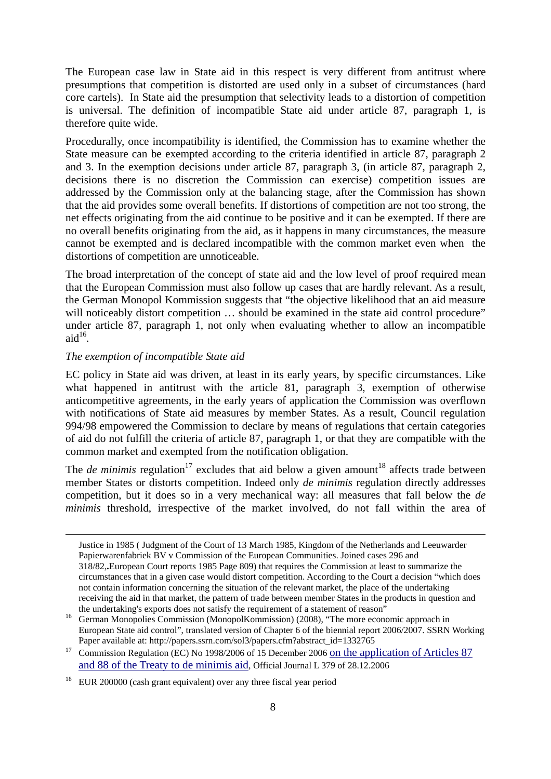The European case law in State aid in this respect is very different from antitrust where presumptions that competition is distorted are used only in a subset of circumstances (hard core cartels). In State aid the presumption that selectivity leads to a distortion of competition is universal. The definition of incompatible State aid under article 87, paragraph 1, is therefore quite wide.

Procedurally, once incompatibility is identified, the Commission has to examine whether the State measure can be exempted according to the criteria identified in article 87, paragraph 2 and 3. In the exemption decisions under article 87, paragraph 3, (in article 87, paragraph 2, decisions there is no discretion the Commission can exercise) competition issues are addressed by the Commission only at the balancing stage, after the Commission has shown that the aid provides some overall benefits. If distortions of competition are not too strong, the net effects originating from the aid continue to be positive and it can be exempted. If there are no overall benefits originating from the aid, as it happens in many circumstances, the measure cannot be exempted and is declared incompatible with the common market even when the distortions of competition are unnoticeable.

The broad interpretation of the concept of state aid and the low level of proof required mean that the European Commission must also follow up cases that are hardly relevant. As a result, the German Monopol Kommission suggests that "the objective likelihood that an aid measure will noticeably distort competition ... should be examined in the state aid control procedure" under article 87, paragraph 1, not only when evaluating whether to allow an incompatible aid $^{16}$ .

### *The exemption of incompatible State aid*

EC policy in State aid was driven, at least in its early years, by specific circumstances. Like what happened in antitrust with the article 81, paragraph 3, exemption of otherwise anticompetitive agreements, in the early years of application the Commission was overflown with notifications of State aid measures by member States. As a result, Council regulation 994/98 empowered the Commission to declare by means of regulations that certain categories of aid do not fulfill the criteria of article 87, paragraph 1, or that they are compatible with the common market and exempted from the notification obligation.

The *de minimis* regulation<sup>17</sup> excludes that aid below a given amount<sup>18</sup> affects trade between member States or distorts competition. Indeed only *de minimis* regulation directly addresses competition, but it does so in a very mechanical way: all measures that fall below the *de minimis* threshold, irrespective of the market involved, do not fall within the area of

 Justice in 1985 ( Judgment of the Court of 13 March 1985, Kingdom of the Netherlands and Leeuwarder Papierwarenfabriek BV v Commission of the European Communities. Joined cases 296 and 318/82,**.**European Court reports 1985 Page 809) that requires the Commission at least to summarize the circumstances that in a given case would distort competition. According to the Court a decision "which does not contain information concerning the situation of the relevant market, the place of the undertaking receiving the aid in that market, the pattern of trade between member States in the products in question and

the undertaking's exports does not satisfy the requirement of a statement of reason"<br>German Monopolies Commission (MonopolKommission) (2008), "The more economic approach in European State aid control", translated version of Chapter 6 of the biennial report 2006/2007. SSRN Working Paper available at: http://papers.ssrn.com/sol3/papers.cfm?abstract\_id=1332765<br><sup>17</sup> Commission Regulation (EC) No 1998/2006 of 15 December 2006 on the application of Articles 87

and 88 of the Treaty to de minimis aid, Official Journal L 379 of 28.12.2006

<sup>&</sup>lt;sup>18</sup> EUR 200000 (cash grant equivalent) over any three fiscal year period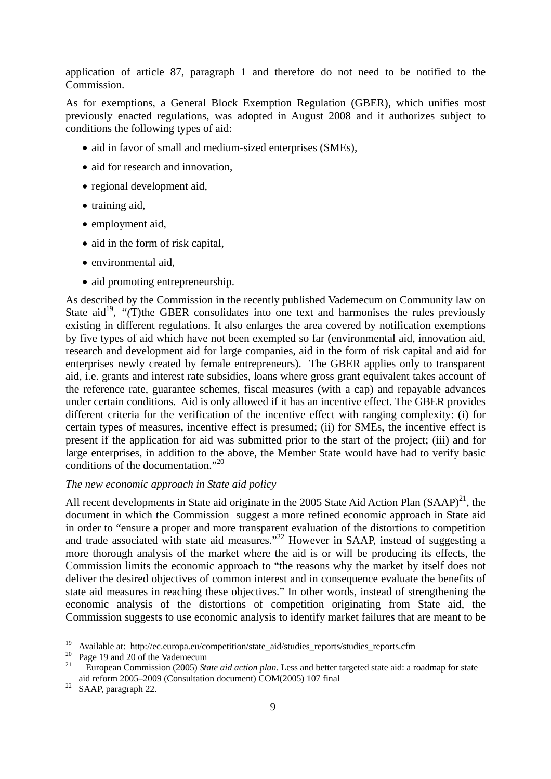application of article 87, paragraph 1 and therefore do not need to be notified to the Commission.

As for exemptions, a General Block Exemption Regulation (GBER), which unifies most previously enacted regulations, was adopted in August 2008 and it authorizes subject to conditions the following types of aid:

- aid in favor of small and medium-sized enterprises (SMEs),
- aid for research and innovation,
- regional development aid,
- training aid,
- employment aid,
- aid in the form of risk capital,
- environmental aid,
- aid promoting entrepreneurship.

As described by the Commission in the recently published Vademecum on Community law on State aid<sup>19</sup>, "(T)the GBER consolidates into one text and harmonises the rules previously existing in different regulations. It also enlarges the area covered by notification exemptions by five types of aid which have not been exempted so far (environmental aid, innovation aid, research and development aid for large companies, aid in the form of risk capital and aid for enterprises newly created by female entrepreneurs). The GBER applies only to transparent aid, i.e. grants and interest rate subsidies, loans where gross grant equivalent takes account of the reference rate, guarantee schemes, fiscal measures (with a cap) and repayable advances under certain conditions. Aid is only allowed if it has an incentive effect. The GBER provides different criteria for the verification of the incentive effect with ranging complexity: (i) for certain types of measures, incentive effect is presumed; (ii) for SMEs, the incentive effect is present if the application for aid was submitted prior to the start of the project; (iii) and for large enterprises, in addition to the above, the Member State would have had to verify basic conditions of the documentation."<sup>20</sup>

### *The new economic approach in State aid policy*

All recent developments in State aid originate in the 2005 State Aid Action Plan  $(SAAP)^{21}$ , the document in which the Commission suggest a more refined economic approach in State aid in order to "ensure a proper and more transparent evaluation of the distortions to competition and trade associated with state aid measures."<sup>22</sup> However in SAAP, instead of suggesting a more thorough analysis of the market where the aid is or will be producing its effects, the Commission limits the economic approach to "the reasons why the market by itself does not deliver the desired objectives of common interest and in consequence evaluate the benefits of state aid measures in reaching these objectives." In other words, instead of strengthening the economic analysis of the distortions of competition originating from State aid, the Commission suggests to use economic analysis to identify market failures that are meant to be

 $19$ <sup>19</sup> Available at: http://ec.europa.eu/competition/state\_aid/studies\_reports/studies\_reports.cfm<br><sup>20</sup> Page 19 and 20 of the Vademecum<br><sup>21</sup> European Commission (2005) State aid action also Lage and hatter terrated atate ai

<sup>21</sup> European Commission (2005) *State aid action plan.* Less and better targeted state aid: a roadmap for state aid reform 2005–2009 (Consultation document) COM(2005) 107 final 22 SAAP, paragraph 22.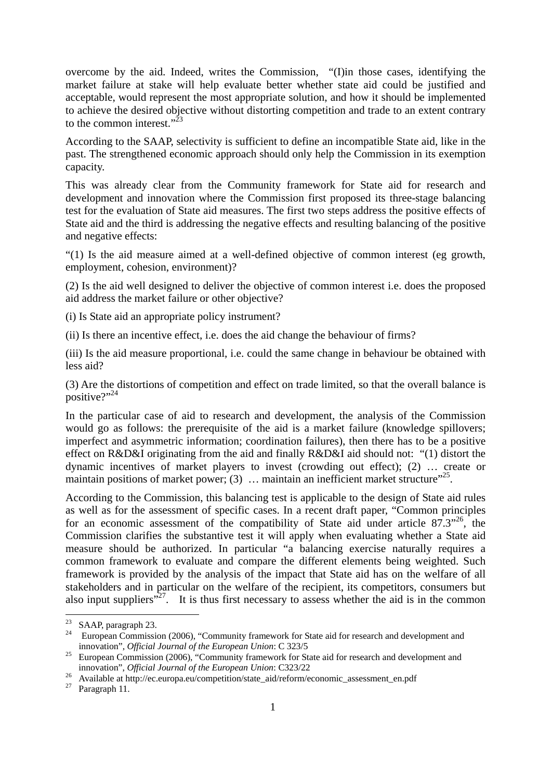overcome by the aid. Indeed, writes the Commission, "(I)in those cases, identifying the market failure at stake will help evaluate better whether state aid could be justified and acceptable, would represent the most appropriate solution, and how it should be implemented to achieve the desired objective without distorting competition and trade to an extent contrary to the common interest." $^{23}$ 

According to the SAAP, selectivity is sufficient to define an incompatible State aid, like in the past. The strengthened economic approach should only help the Commission in its exemption capacity.

This was already clear from the Community framework for State aid for research and development and innovation where the Commission first proposed its three-stage balancing test for the evaluation of State aid measures. The first two steps address the positive effects of State aid and the third is addressing the negative effects and resulting balancing of the positive and negative effects:

"(1) Is the aid measure aimed at a well-defined objective of common interest (eg growth, employment, cohesion, environment)?

(2) Is the aid well designed to deliver the objective of common interest i.e. does the proposed aid address the market failure or other objective?

(i) Is State aid an appropriate policy instrument?

(ii) Is there an incentive effect, i.e. does the aid change the behaviour of firms?

(iii) Is the aid measure proportional, i.e. could the same change in behaviour be obtained with less aid?

(3) Are the distortions of competition and effect on trade limited, so that the overall balance is positive?"<sup>24</sup>

In the particular case of aid to research and development, the analysis of the Commission would go as follows: the prerequisite of the aid is a market failure (knowledge spillovers; imperfect and asymmetric information; coordination failures), then there has to be a positive effect on R&D&I originating from the aid and finally R&D&I aid should not: "(1) distort the dynamic incentives of market players to invest (crowding out effect); (2) … create or maintain positions of market power; (3)  $\ldots$  maintain an inefficient market structure<sup> $25$ </sup>.

According to the Commission, this balancing test is applicable to the design of State aid rules as well as for the assessment of specific cases. In a recent draft paper, "Common principles for an economic assessment of the compatibility of State aid under article  $87.3^{326}$ , the Commission clarifies the substantive test it will apply when evaluating whether a State aid measure should be authorized. In particular "a balancing exercise naturally requires a common framework to evaluate and compare the different elements being weighted. Such framework is provided by the analysis of the impact that State aid has on the welfare of all stakeholders and in particular on the welfare of the recipient, its competitors, consumers but also input suppliers"<sup>27</sup>. It is thus first necessary to assess whether the aid is in the common

<sup>23</sup>  $\frac{23}{24}$  SAAP, paragraph 23.

European Commission (2006), "Community framework for State aid for research and development and innovation", *Official Journal of the European Union*: C 323/5<br><sup>25</sup> European Commission (2006), "Community framework for State aid for research and development and

innovation", *Official Journal of the European Union*: C323/22<br><sup>26</sup> Available at http://ec.europa.eu/competition/state\_aid/reform/economic\_assessment\_en.pdf<br><sup>27</sup> Paragraph 11.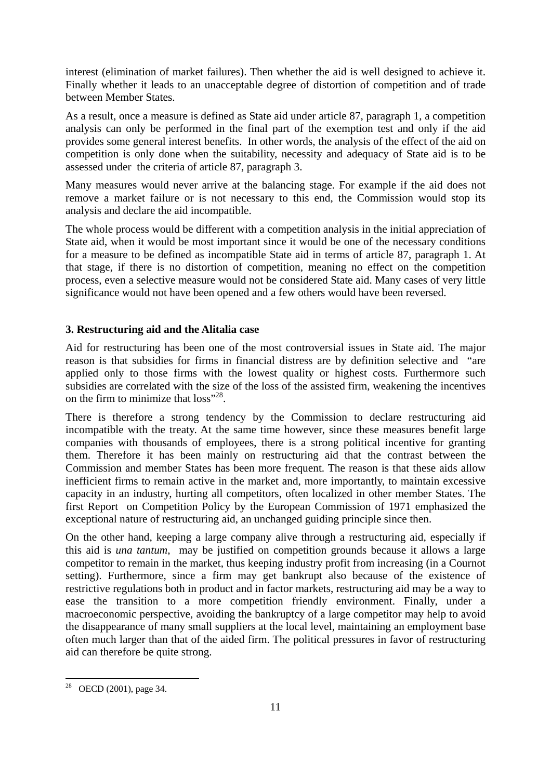interest (elimination of market failures). Then whether the aid is well designed to achieve it. Finally whether it leads to an unacceptable degree of distortion of competition and of trade between Member States.

As a result, once a measure is defined as State aid under article 87, paragraph 1, a competition analysis can only be performed in the final part of the exemption test and only if the aid provides some general interest benefits. In other words, the analysis of the effect of the aid on competition is only done when the suitability, necessity and adequacy of State aid is to be assessed under the criteria of article 87, paragraph 3.

Many measures would never arrive at the balancing stage. For example if the aid does not remove a market failure or is not necessary to this end, the Commission would stop its analysis and declare the aid incompatible.

The whole process would be different with a competition analysis in the initial appreciation of State aid, when it would be most important since it would be one of the necessary conditions for a measure to be defined as incompatible State aid in terms of article 87, paragraph 1. At that stage, if there is no distortion of competition, meaning no effect on the competition process, even a selective measure would not be considered State aid. Many cases of very little significance would not have been opened and a few others would have been reversed.

# **3. Restructuring aid and the Alitalia case**

Aid for restructuring has been one of the most controversial issues in State aid. The major reason is that subsidies for firms in financial distress are by definition selective and "are applied only to those firms with the lowest quality or highest costs. Furthermore such subsidies are correlated with the size of the loss of the assisted firm, weakening the incentives on the firm to minimize that loss"<sup>28</sup>.

There is therefore a strong tendency by the Commission to declare restructuring aid incompatible with the treaty. At the same time however, since these measures benefit large companies with thousands of employees, there is a strong political incentive for granting them. Therefore it has been mainly on restructuring aid that the contrast between the Commission and member States has been more frequent. The reason is that these aids allow inefficient firms to remain active in the market and, more importantly, to maintain excessive capacity in an industry, hurting all competitors, often localized in other member States. The first Report on Competition Policy by the European Commission of 1971 emphasized the exceptional nature of restructuring aid, an unchanged guiding principle since then.

On the other hand, keeping a large company alive through a restructuring aid, especially if this aid is *una tantum*, may be justified on competition grounds because it allows a large competitor to remain in the market, thus keeping industry profit from increasing (in a Cournot setting). Furthermore, since a firm may get bankrupt also because of the existence of restrictive regulations both in product and in factor markets, restructuring aid may be a way to ease the transition to a more competition friendly environment. Finally, under a macroeconomic perspective, avoiding the bankruptcy of a large competitor may help to avoid the disappearance of many small suppliers at the local level, maintaining an employment base often much larger than that of the aided firm. The political pressures in favor of restructuring aid can therefore be quite strong.

<sup>&</sup>lt;sup>28</sup> OECD (2001), page 34.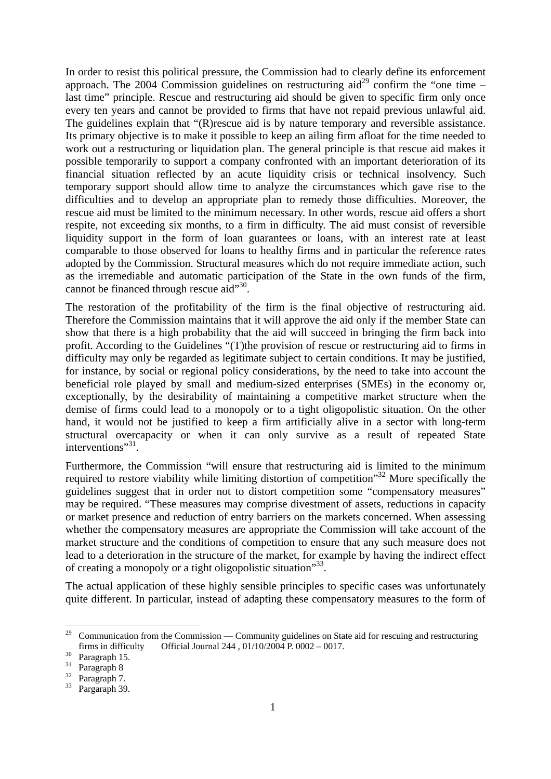In order to resist this political pressure, the Commission had to clearly define its enforcement approach. The 2004 Commission guidelines on restructuring aid<sup>29</sup> confirm the "one time – last time" principle. Rescue and restructuring aid should be given to specific firm only once every ten years and cannot be provided to firms that have not repaid previous unlawful aid. The guidelines explain that "(R)rescue aid is by nature temporary and reversible assistance. Its primary objective is to make it possible to keep an ailing firm afloat for the time needed to work out a restructuring or liquidation plan. The general principle is that rescue aid makes it possible temporarily to support a company confronted with an important deterioration of its financial situation reflected by an acute liquidity crisis or technical insolvency. Such temporary support should allow time to analyze the circumstances which gave rise to the difficulties and to develop an appropriate plan to remedy those difficulties. Moreover, the rescue aid must be limited to the minimum necessary. In other words, rescue aid offers a short respite, not exceeding six months, to a firm in difficulty. The aid must consist of reversible liquidity support in the form of loan guarantees or loans, with an interest rate at least comparable to those observed for loans to healthy firms and in particular the reference rates adopted by the Commission. Structural measures which do not require immediate action, such as the irremediable and automatic participation of the State in the own funds of the firm, cannot be financed through rescue aid"<sup>30</sup>.

The restoration of the profitability of the firm is the final objective of restructuring aid. Therefore the Commission maintains that it will approve the aid only if the member State can show that there is a high probability that the aid will succeed in bringing the firm back into profit. According to the Guidelines "(T)the provision of rescue or restructuring aid to firms in difficulty may only be regarded as legitimate subject to certain conditions. It may be justified, for instance, by social or regional policy considerations, by the need to take into account the beneficial role played by small and medium-sized enterprises (SMEs) in the economy or, exceptionally, by the desirability of maintaining a competitive market structure when the demise of firms could lead to a monopoly or to a tight oligopolistic situation. On the other hand, it would not be justified to keep a firm artificially alive in a sector with long-term structural overcapacity or when it can only survive as a result of repeated State interventions"<sup>31</sup>.

Furthermore, the Commission "will ensure that restructuring aid is limited to the minimum required to restore viability while limiting distortion of competition<sup>32</sup> More specifically the guidelines suggest that in order not to distort competition some "compensatory measures" may be required. "These measures may comprise divestment of assets, reductions in capacity or market presence and reduction of entry barriers on the markets concerned. When assessing whether the compensatory measures are appropriate the Commission will take account of the market structure and the conditions of competition to ensure that any such measure does not lead to a deterioration in the structure of the market, for example by having the indirect effect of creating a monopoly or a tight oligopolistic situation<sup>33</sup>.

The actual application of these highly sensible principles to specific cases was unfortunately quite different. In particular, instead of adapting these compensatory measures to the form of

<sup>29</sup> 29 Communication from the Commission — Community guidelines on State aid for rescuing and restructuring firms in difficulty Official Journal 244,  $01/10/2004$  P. 0002 – 0017.<br>31 Paragraph 15.

 $\frac{31}{32}$  Paragraph 8

 $rac{32}{33}$  Paragraph 7.

Pargaraph 39.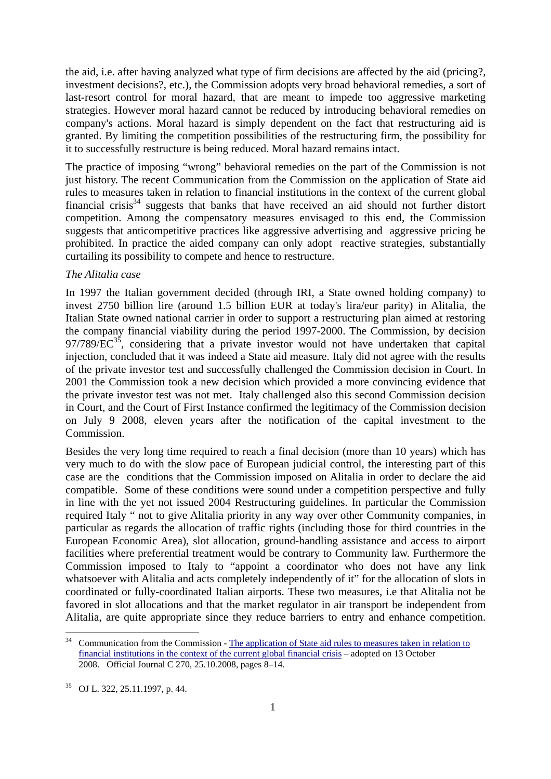the aid, i.e. after having analyzed what type of firm decisions are affected by the aid (pricing?, investment decisions?, etc.), the Commission adopts very broad behavioral remedies, a sort of last-resort control for moral hazard, that are meant to impede too aggressive marketing strategies. However moral hazard cannot be reduced by introducing behavioral remedies on company's actions. Moral hazard is simply dependent on the fact that restructuring aid is granted. By limiting the competition possibilities of the restructuring firm, the possibility for it to successfully restructure is being reduced. Moral hazard remains intact.

The practice of imposing "wrong" behavioral remedies on the part of the Commission is not just history. The recent Communication from the Commission on the application of State aid rules to measures taken in relation to financial institutions in the context of the current global financial crisis<sup>34</sup> suggests that banks that have received an aid should not further distort competition. Among the compensatory measures envisaged to this end, the Commission suggests that anticompetitive practices like aggressive advertising and aggressive pricing be prohibited. In practice the aided company can only adopt reactive strategies, substantially curtailing its possibility to compete and hence to restructure.

### *The Alitalia case*

In 1997 the Italian government decided (through IRI, a State owned holding company) to invest 2750 billion lire (around 1.5 billion EUR at today's lira/eur parity) in Alitalia, the Italian State owned national carrier in order to support a restructuring plan aimed at restoring the company financial viability during the period 1997-2000. The Commission, by decision  $97/789/EC^{35}$ , considering that a private investor would not have undertaken that capital injection, concluded that it was indeed a State aid measure. Italy did not agree with the results of the private investor test and successfully challenged the Commission decision in Court. In 2001 the Commission took a new decision which provided a more convincing evidence that the private investor test was not met. Italy challenged also this second Commission decision in Court, and the Court of First Instance confirmed the legitimacy of the Commission decision on July 9 2008, eleven years after the notification of the capital investment to the Commission.

Besides the very long time required to reach a final decision (more than 10 years) which has very much to do with the slow pace of European judicial control, the interesting part of this case are the conditions that the Commission imposed on Alitalia in order to declare the aid compatible. Some of these conditions were sound under a competition perspective and fully in line with the yet not issued 2004 Restructuring guidelines. In particular the Commission required Italy " not to give Alitalia priority in any way over other Community companies, in particular as regards the allocation of traffic rights (including those for third countries in the European Economic Area), slot allocation, ground-handling assistance and access to airport facilities where preferential treatment would be contrary to Community law. Furthermore the Commission imposed to Italy to "appoint a coordinator who does not have any link whatsoever with Alitalia and acts completely independently of it" for the allocation of slots in coordinated or fully-coordinated Italian airports. These two measures, i.e that Alitalia not be favored in slot allocations and that the market regulator in air transport be independent from Alitalia, are quite appropriate since they reduce barriers to entry and enhance competition.

 $34\,$ 34 Communication from the Commission - The application of State aid rules to measures taken in relation to financial institutions in the context of the current global financial crisis – adopted on 13 October 2008. Official Journal C 270, 25.10.2008, pages 8–14.

<sup>35</sup> OJ L. 322, 25.11.1997, p. 44.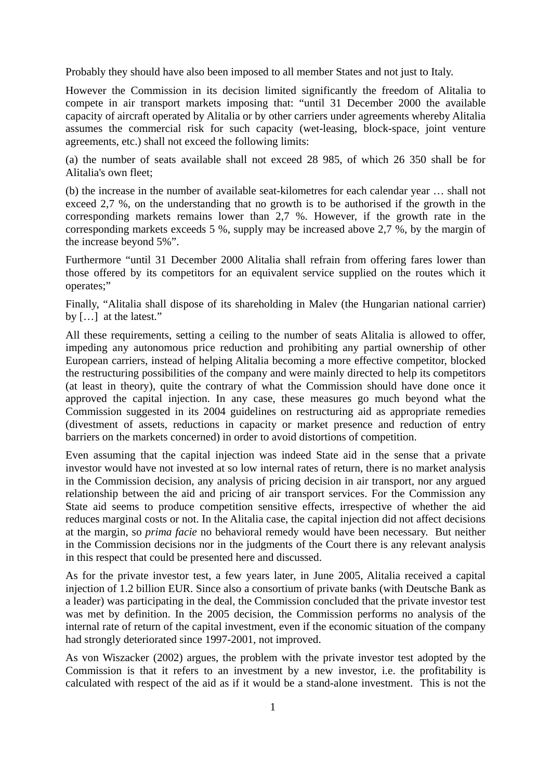Probably they should have also been imposed to all member States and not just to Italy.

However the Commission in its decision limited significantly the freedom of Alitalia to compete in air transport markets imposing that: "until 31 December 2000 the available capacity of aircraft operated by Alitalia or by other carriers under agreements whereby Alitalia assumes the commercial risk for such capacity (wet-leasing, block-space, joint venture agreements, etc.) shall not exceed the following limits:

(a) the number of seats available shall not exceed 28 985, of which 26 350 shall be for Alitalia's own fleet;

(b) the increase in the number of available seat-kilometres for each calendar year … shall not exceed 2,7 %, on the understanding that no growth is to be authorised if the growth in the corresponding markets remains lower than 2,7 %. However, if the growth rate in the corresponding markets exceeds 5 %, supply may be increased above 2,7 %, by the margin of the increase beyond 5%".

Furthermore "until 31 December 2000 Alitalia shall refrain from offering fares lower than those offered by its competitors for an equivalent service supplied on the routes which it operates;"

Finally, "Alitalia shall dispose of its shareholding in Malev (the Hungarian national carrier) by […] at the latest."

All these requirements, setting a ceiling to the number of seats Alitalia is allowed to offer, impeding any autonomous price reduction and prohibiting any partial ownership of other European carriers, instead of helping Alitalia becoming a more effective competitor, blocked the restructuring possibilities of the company and were mainly directed to help its competitors (at least in theory), quite the contrary of what the Commission should have done once it approved the capital injection. In any case, these measures go much beyond what the Commission suggested in its 2004 guidelines on restructuring aid as appropriate remedies (divestment of assets, reductions in capacity or market presence and reduction of entry barriers on the markets concerned) in order to avoid distortions of competition.

Even assuming that the capital injection was indeed State aid in the sense that a private investor would have not invested at so low internal rates of return, there is no market analysis in the Commission decision, any analysis of pricing decision in air transport, nor any argued relationship between the aid and pricing of air transport services. For the Commission any State aid seems to produce competition sensitive effects, irrespective of whether the aid reduces marginal costs or not. In the Alitalia case, the capital injection did not affect decisions at the margin, so *prima facie* no behavioral remedy would have been necessary. But neither in the Commission decisions nor in the judgments of the Court there is any relevant analysis in this respect that could be presented here and discussed.

As for the private investor test, a few years later, in June 2005, Alitalia received a capital injection of 1.2 billion EUR. Since also a consortium of private banks (with Deutsche Bank as a leader) was participating in the deal, the Commission concluded that the private investor test was met by definition. In the 2005 decision, the Commission performs no analysis of the internal rate of return of the capital investment, even if the economic situation of the company had strongly deteriorated since 1997-2001, not improved.

As von Wiszacker (2002) argues, the problem with the private investor test adopted by the Commission is that it refers to an investment by a new investor, i.e. the profitability is calculated with respect of the aid as if it would be a stand-alone investment. This is not the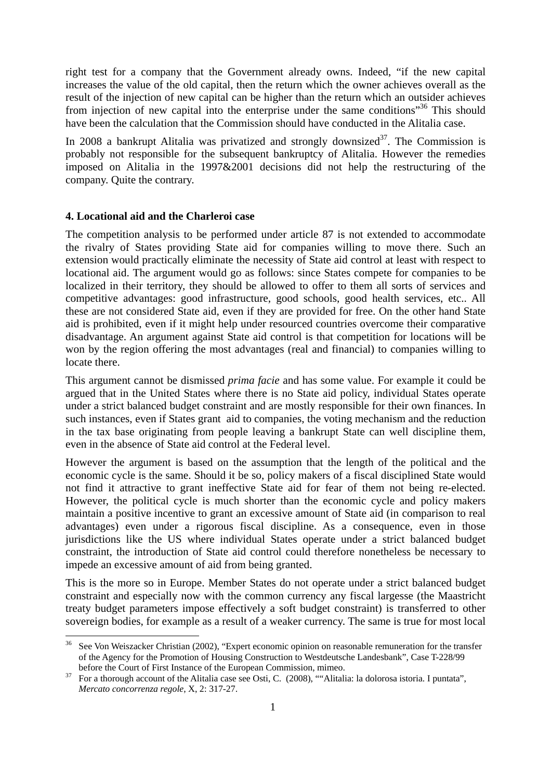right test for a company that the Government already owns. Indeed, "if the new capital increases the value of the old capital, then the return which the owner achieves overall as the result of the injection of new capital can be higher than the return which an outsider achieves from injection of new capital into the enterprise under the same conditions"<sup>36</sup> This should have been the calculation that the Commission should have conducted in the Alitalia case.

In 2008 a bankrupt Alitalia was privatized and strongly downsized<sup>37</sup>. The Commission is probably not responsible for the subsequent bankruptcy of Alitalia. However the remedies imposed on Alitalia in the 1997&2001 decisions did not help the restructuring of the company. Quite the contrary.

### **4. Locational aid and the Charleroi case**

<u>.</u>

The competition analysis to be performed under article 87 is not extended to accommodate the rivalry of States providing State aid for companies willing to move there. Such an extension would practically eliminate the necessity of State aid control at least with respect to locational aid. The argument would go as follows: since States compete for companies to be localized in their territory, they should be allowed to offer to them all sorts of services and competitive advantages: good infrastructure, good schools, good health services, etc.. All these are not considered State aid, even if they are provided for free. On the other hand State aid is prohibited, even if it might help under resourced countries overcome their comparative disadvantage. An argument against State aid control is that competition for locations will be won by the region offering the most advantages (real and financial) to companies willing to locate there.

This argument cannot be dismissed *prima facie* and has some value. For example it could be argued that in the United States where there is no State aid policy, individual States operate under a strict balanced budget constraint and are mostly responsible for their own finances. In such instances, even if States grant aid to companies, the voting mechanism and the reduction in the tax base originating from people leaving a bankrupt State can well discipline them, even in the absence of State aid control at the Federal level.

However the argument is based on the assumption that the length of the political and the economic cycle is the same. Should it be so, policy makers of a fiscal disciplined State would not find it attractive to grant ineffective State aid for fear of them not being re-elected. However, the political cycle is much shorter than the economic cycle and policy makers maintain a positive incentive to grant an excessive amount of State aid (in comparison to real advantages) even under a rigorous fiscal discipline. As a consequence, even in those jurisdictions like the US where individual States operate under a strict balanced budget constraint, the introduction of State aid control could therefore nonetheless be necessary to impede an excessive amount of aid from being granted.

This is the more so in Europe. Member States do not operate under a strict balanced budget constraint and especially now with the common currency any fiscal largesse (the Maastricht treaty budget parameters impose effectively a soft budget constraint) is transferred to other sovereign bodies, for example as a result of a weaker currency. The same is true for most local

See Von Weiszacker Christian (2002), "Expert economic opinion on reasonable remuneration for the transfer of the Agency for the Promotion of Housing Construction to Westdeutsche Landesbank", Case T-228/99

before the Court of First Instance of the European Commission, mimeo.<br>57 For a thorough account of the Alitalia case see Osti, C. (2008), ""Alitalia: la dolorosa istoria. I puntata *Mercato concorrenza regole*, X, 2: 317-27.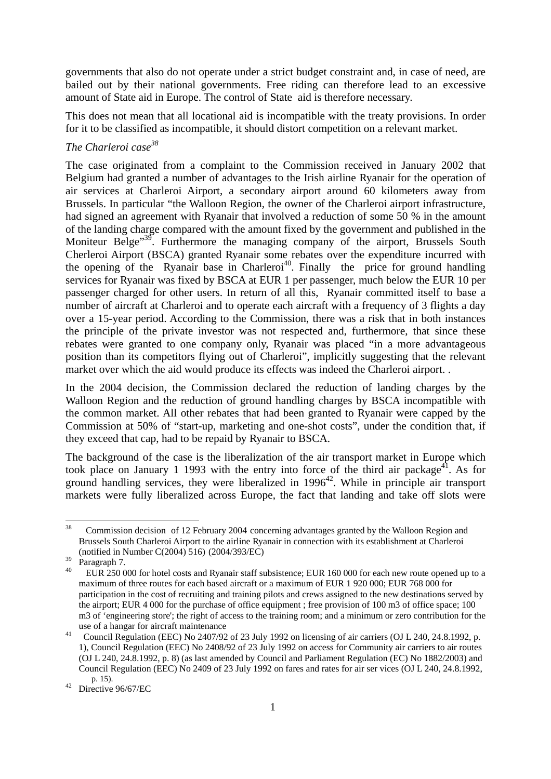governments that also do not operate under a strict budget constraint and, in case of need, are bailed out by their national governments. Free riding can therefore lead to an excessive amount of State aid in Europe. The control of State aid is therefore necessary.

This does not mean that all locational aid is incompatible with the treaty provisions. In order for it to be classified as incompatible, it should distort competition on a relevant market.

# *The Charleroi case38*

The case originated from a complaint to the Commission received in January 2002 that Belgium had granted a number of advantages to the Irish airline Ryanair for the operation of air services at Charleroi Airport, a secondary airport around 60 kilometers away from Brussels. In particular "the Walloon Region, the owner of the Charleroi airport infrastructure, had signed an agreement with Ryanair that involved a reduction of some 50 % in the amount of the landing charge compared with the amount fixed by the government and published in the Moniteur Belge"<sup>39</sup>. Furthermore the managing company of the airport, Brussels South Cherleroi Airport (BSCA) granted Ryanair some rebates over the expenditure incurred with the opening of the Ryanair base in Charleroi<sup>40</sup>. Finally the price for ground handling services for Ryanair was fixed by BSCA at EUR 1 per passenger, much below the EUR 10 per passenger charged for other users. In return of all this, Ryanair committed itself to base a number of aircraft at Charleroi and to operate each aircraft with a frequency of 3 flights a day over a 15-year period. According to the Commission, there was a risk that in both instances the principle of the private investor was not respected and, furthermore, that since these rebates were granted to one company only, Ryanair was placed "in a more advantageous position than its competitors flying out of Charleroi", implicitly suggesting that the relevant market over which the aid would produce its effects was indeed the Charleroi airport. .

In the 2004 decision, the Commission declared the reduction of landing charges by the Walloon Region and the reduction of ground handling charges by BSCA incompatible with the common market. All other rebates that had been granted to Ryanair were capped by the Commission at 50% of "start-up, marketing and one-shot costs", under the condition that, if they exceed that cap, had to be repaid by Ryanair to BSCA.

The background of the case is the liberalization of the air transport market in Europe which took place on January 1 1993 with the entry into force of the third air package<sup>41</sup>. As for ground handling services, they were liberalized in  $1996^{42}$ . While in principle air transport markets were fully liberalized across Europe, the fact that landing and take off slots were

<sup>38</sup> 38 Commission decision of 12 February 2004 concerning advantages granted by the Walloon Region and Brussels South Charleroi Airport to the airline Ryanair in connection with its establishment at Charleroi (notified in Number C(2004) 516) (2004/393/EC)<br>
Paragraph 7.<br>
<sup>40</sup> EUD 250,000 Seek to be the real Beautiest Co-

EUR 250 000 for hotel costs and Ryanair staff subsistence; EUR 160 000 for each new route opened up to a maximum of three routes for each based aircraft or a maximum of EUR 1 920 000; EUR 768 000 for participation in the cost of recruiting and training pilots and crews assigned to the new destinations served by the airport; EUR 4 000 for the purchase of office equipment ; free provision of 100 m3 of office space; 100 m3 of 'engineering store'; the right of access to the training room; and a minimum or zero contribution for the

use of a hangar for aircraft maintenance<br>Council Regulation (EEC) No 2407/92 of 23 July 1992 on licensing of air carriers (OJ L 240, 24.8.1992, p. 1), Council Regulation (EEC) No 2408/92 of 23 July 1992 on access for Community air carriers to air routes (OJ L 240, 24.8.1992, p. 8) (as last amended by Council and Parliament Regulation (EC) No 1882/2003) and Council Regulation (EEC) No 2409 of 23 July 1992 on fares and rates for air ser vices (OJ L 240, 24.8.1992,  $p. 15$ ).

Directive 96/67/EC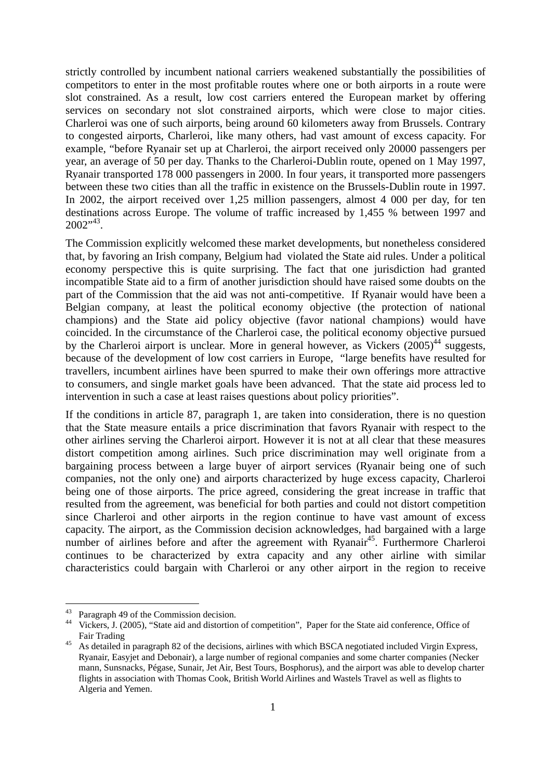strictly controlled by incumbent national carriers weakened substantially the possibilities of competitors to enter in the most profitable routes where one or both airports in a route were slot constrained. As a result, low cost carriers entered the European market by offering services on secondary not slot constrained airports, which were close to major cities. Charleroi was one of such airports, being around 60 kilometers away from Brussels. Contrary to congested airports, Charleroi, like many others, had vast amount of excess capacity. For example, "before Ryanair set up at Charleroi, the airport received only 20000 passengers per year, an average of 50 per day. Thanks to the Charleroi-Dublin route, opened on 1 May 1997, Ryanair transported 178 000 passengers in 2000. In four years, it transported more passengers between these two cities than all the traffic in existence on the Brussels-Dublin route in 1997. In 2002, the airport received over 1,25 million passengers, almost 4 000 per day, for ten destinations across Europe. The volume of traffic increased by 1,455 % between 1997 and  $2002^{43}$ .

The Commission explicitly welcomed these market developments, but nonetheless considered that, by favoring an Irish company, Belgium had violated the State aid rules. Under a political economy perspective this is quite surprising. The fact that one jurisdiction had granted incompatible State aid to a firm of another jurisdiction should have raised some doubts on the part of the Commission that the aid was not anti-competitive. If Ryanair would have been a Belgian company, at least the political economy objective (the protection of national champions) and the State aid policy objective (favor national champions) would have coincided. In the circumstance of the Charleroi case, the political economy objective pursued by the Charleroi airport is unclear. More in general however, as Vickers  $(2005)^{44}$  suggests, because of the development of low cost carriers in Europe, "large benefits have resulted for travellers, incumbent airlines have been spurred to make their own offerings more attractive to consumers, and single market goals have been advanced. That the state aid process led to intervention in such a case at least raises questions about policy priorities".

If the conditions in article 87, paragraph 1, are taken into consideration, there is no question that the State measure entails a price discrimination that favors Ryanair with respect to the other airlines serving the Charleroi airport. However it is not at all clear that these measures distort competition among airlines. Such price discrimination may well originate from a bargaining process between a large buyer of airport services (Ryanair being one of such companies, not the only one) and airports characterized by huge excess capacity, Charleroi being one of those airports. The price agreed, considering the great increase in traffic that resulted from the agreement, was beneficial for both parties and could not distort competition since Charleroi and other airports in the region continue to have vast amount of excess capacity. The airport, as the Commission decision acknowledges, had bargained with a large number of airlines before and after the agreement with Ryanair<sup>45</sup>. Furthermore Charleroi continues to be characterized by extra capacity and any other airline with similar characteristics could bargain with Charleroi or any other airport in the region to receive

 $43$ 43 Paragraph 49 of the Commission decision.

<sup>44</sup> Vickers, J. (2005), "State aid and distortion of competition", Paper for the State aid conference, Office of Fair Trading<br>45 As detailed in paragraph 82 of the decisions, airlines with which BSCA negotiated included Virgin Express,

Ryanair, Easyjet and Debonair), a large number of regional companies and some charter companies (Necker mann, Sunsnacks, Pégase, Sunair, Jet Air, Best Tours, Bosphorus), and the airport was able to develop charter flights in association with Thomas Cook, British World Airlines and Wastels Travel as well as flights to Algeria and Yemen.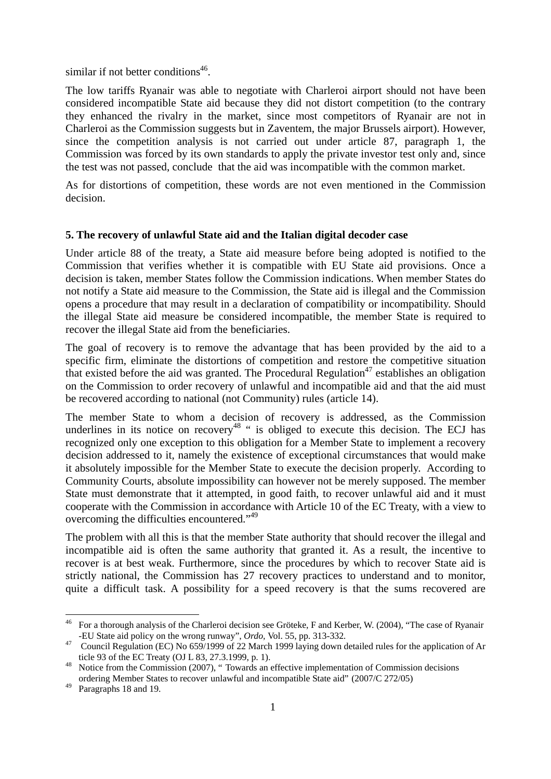similar if not better conditions $46$ .

The low tariffs Ryanair was able to negotiate with Charleroi airport should not have been considered incompatible State aid because they did not distort competition (to the contrary they enhanced the rivalry in the market, since most competitors of Ryanair are not in Charleroi as the Commission suggests but in Zaventem, the major Brussels airport). However, since the competition analysis is not carried out under article 87, paragraph 1, the Commission was forced by its own standards to apply the private investor test only and, since the test was not passed, conclude that the aid was incompatible with the common market.

As for distortions of competition, these words are not even mentioned in the Commission decision.

### **5. The recovery of unlawful State aid and the Italian digital decoder case**

Under article 88 of the treaty, a State aid measure before being adopted is notified to the Commission that verifies whether it is compatible with EU State aid provisions. Once a decision is taken, member States follow the Commission indications. When member States do not notify a State aid measure to the Commission, the State aid is illegal and the Commission opens a procedure that may result in a declaration of compatibility or incompatibility. Should the illegal State aid measure be considered incompatible, the member State is required to recover the illegal State aid from the beneficiaries.

The goal of recovery is to remove the advantage that has been provided by the aid to a specific firm, eliminate the distortions of competition and restore the competitive situation that existed before the aid was granted. The Procedural Regulation<sup> $47$ </sup> establishes an obligation on the Commission to order recovery of unlawful and incompatible aid and that the aid must be recovered according to national (not Community) rules (article 14).

The member State to whom a decision of recovery is addressed, as the Commission underlines in its notice on recovery<sup>48</sup> " is obliged to execute this decision. The ECJ has recognized only one exception to this obligation for a Member State to implement a recovery decision addressed to it, namely the existence of exceptional circumstances that would make it absolutely impossible for the Member State to execute the decision properly. According to Community Courts, absolute impossibility can however not be merely supposed. The member State must demonstrate that it attempted, in good faith, to recover unlawful aid and it must cooperate with the Commission in accordance with Article 10 of the EC Treaty, with a view to overcoming the difficulties encountered."49

The problem with all this is that the member State authority that should recover the illegal and incompatible aid is often the same authority that granted it. As a result, the incentive to recover is at best weak. Furthermore, since the procedures by which to recover State aid is strictly national, the Commission has 27 recovery practices to understand and to monitor, quite a difficult task. A possibility for a speed recovery is that the sums recovered are

<sup>&</sup>lt;sup>46</sup> For a thorough analysis of the Charleroi decision see Gröteke, F and Kerber, W. (2004), "The case of Ryanair -EU State aid policy on the wrong runway", *Ordo,* Vol. 55, pp. 313-332*.* 47 Council Regulation (EC) No 659/1999 of 22 March 1999 laying down detailed rules for the application of Ar

ticle 93 of the EC Treaty (OJ L 83, 27.3.1999, p. 1).<br>Notice from the Commission (2007), " Towards an effective implementation of Commission decisions

ordering Member States to recover unlawful and incompatible State aid" (2007/C 272/05) 49 Paragraphs 18 and 19.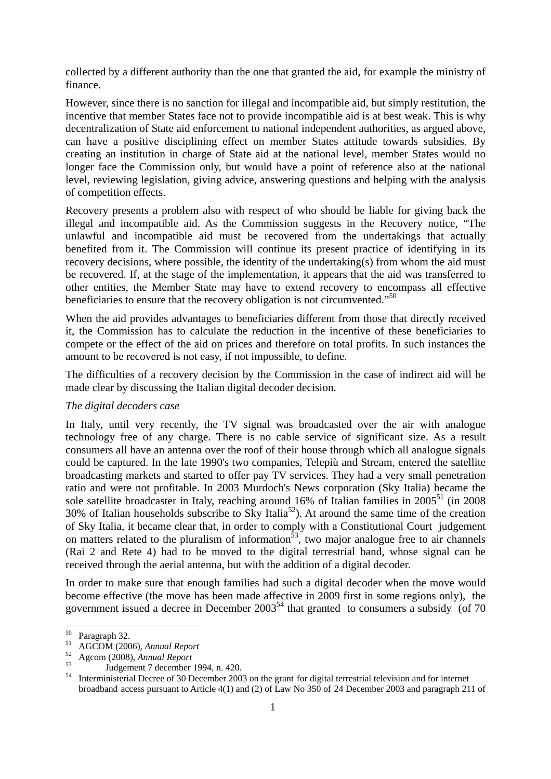collected by a different authority than the one that granted the aid, for example the ministry of finance.

However, since there is no sanction for illegal and incompatible aid, but simply restitution, the incentive that member States face not to provide incompatible aid is at best weak. This is why decentralization of State aid enforcement to national independent authorities, as argued above, can have a positive disciplining effect on member States attitude towards subsidies. By creating an institution in charge of State aid at the national level, member States would no longer face the Commission only, but would have a point of reference also at the national level, reviewing legislation, giving advice, answering questions and helping with the analysis of competition effects.

Recovery presents a problem also with respect of who should be liable for giving back the illegal and incompatible aid. As the Commission suggests in the Recovery notice, "The unlawful and incompatible aid must be recovered from the undertakings that actually benefited from it. The Commission will continue its present practice of identifying in its recovery decisions, where possible, the identity of the undertaking(s) from whom the aid must be recovered. If, at the stage of the implementation, it appears that the aid was transferred to other entities, the Member State may have to extend recovery to encompass all effective beneficiaries to ensure that the recovery obligation is not circumvented."<sup>50</sup>

When the aid provides advantages to beneficiaries different from those that directly received it, the Commission has to calculate the reduction in the incentive of these beneficiaries to compete or the effect of the aid on prices and therefore on total profits. In such instances the amount to be recovered is not easy, if not impossible, to define.

The difficulties of a recovery decision by the Commission in the case of indirect aid will be made clear by discussing the Italian digital decoder decision.

### *The digital decoders case*

In Italy, until very recently, the TV signal was broadcasted over the air with analogue technology free of any charge. There is no cable service of significant size. As a result consumers all have an antenna over the roof of their house through which all analogue signals could be captured. In the late 1990's two companies, Telepiù and Stream, entered the satellite broadcasting markets and started to offer pay TV services. They had a very small penetration ratio and were not profitable. In 2003 Murdoch's News corporation (Sky Italia) became the sole satellite broadcaster in Italy, reaching around  $16\%$  of Italian families in  $2005<sup>51</sup>$  (in 2008) 30% of Italian households subscribe to Sky Italia<sup>52</sup>). At around the same time of the creation of Sky Italia, it became clear that, in order to comply with a Constitutional Court judgement on matters related to the pluralism of information<sup>53</sup>, two major analogue free to air channels (Rai 2 and Rete 4) had to be moved to the digital terrestrial band, whose signal can be received through the aerial antenna, but with the addition of a digital decoder.

In order to make sure that enough families had such a digital decoder when the move would become effective (the move has been made affective in 2009 first in some regions only), the government issued a decree in December  $2003^{54}$  that granted to consumers a subsidy (of 70

<sup>50</sup>  $^{50}$  Paragraph 32.

<sup>51</sup> AGCOM (2006), *Annual Report* 52 Agcom (2008), *Annual Report* 53 Judgement 7 december 1994, n. 420.

<sup>54</sup> Interministerial Decree of 30 December 2003 on the grant for digital terrestrial television and for internet broadband access pursuant to Article 4(1) and (2) of Law No 350 of 24 December 2003 and paragraph 211 of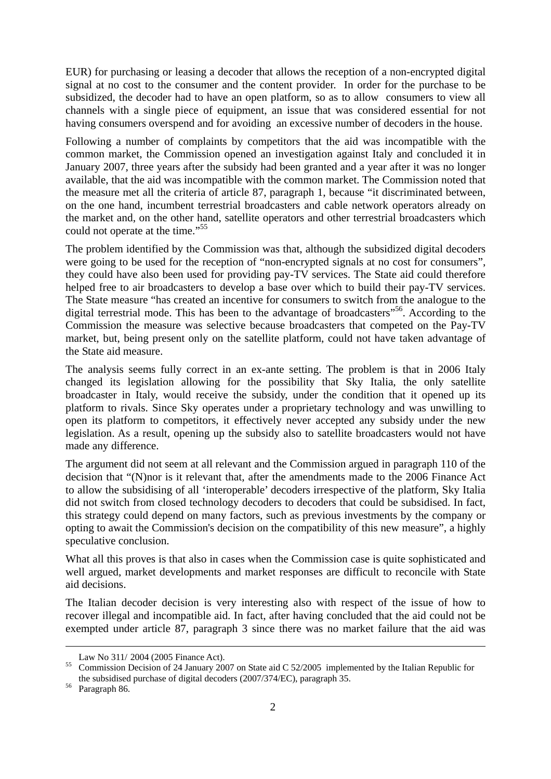EUR) for purchasing or leasing a decoder that allows the reception of a non-encrypted digital signal at no cost to the consumer and the content provider. In order for the purchase to be subsidized, the decoder had to have an open platform, so as to allow consumers to view all channels with a single piece of equipment, an issue that was considered essential for not having consumers overspend and for avoiding an excessive number of decoders in the house.

Following a number of complaints by competitors that the aid was incompatible with the common market, the Commission opened an investigation against Italy and concluded it in January 2007, three years after the subsidy had been granted and a year after it was no longer available, that the aid was incompatible with the common market. The Commission noted that the measure met all the criteria of article 87, paragraph 1, because "it discriminated between, on the one hand, incumbent terrestrial broadcasters and cable network operators already on the market and, on the other hand, satellite operators and other terrestrial broadcasters which could not operate at the time."<sup>55</sup>

The problem identified by the Commission was that, although the subsidized digital decoders were going to be used for the reception of "non-encrypted signals at no cost for consumers", they could have also been used for providing pay-TV services. The State aid could therefore helped free to air broadcasters to develop a base over which to build their pay-TV services. The State measure "has created an incentive for consumers to switch from the analogue to the digital terrestrial mode. This has been to the advantage of broadcasters"<sup>56</sup>. According to the Commission the measure was selective because broadcasters that competed on the Pay-TV market, but, being present only on the satellite platform, could not have taken advantage of the State aid measure.

The analysis seems fully correct in an ex-ante setting. The problem is that in 2006 Italy changed its legislation allowing for the possibility that Sky Italia, the only satellite broadcaster in Italy, would receive the subsidy, under the condition that it opened up its platform to rivals. Since Sky operates under a proprietary technology and was unwilling to open its platform to competitors, it effectively never accepted any subsidy under the new legislation. As a result, opening up the subsidy also to satellite broadcasters would not have made any difference.

The argument did not seem at all relevant and the Commission argued in paragraph 110 of the decision that "(N)nor is it relevant that, after the amendments made to the 2006 Finance Act to allow the subsidising of all 'interoperable' decoders irrespective of the platform, Sky Italia did not switch from closed technology decoders to decoders that could be subsidised. In fact, this strategy could depend on many factors, such as previous investments by the company or opting to await the Commission's decision on the compatibility of this new measure", a highly speculative conclusion.

What all this proves is that also in cases when the Commission case is quite sophisticated and well argued, market developments and market responses are difficult to reconcile with State aid decisions.

The Italian decoder decision is very interesting also with respect of the issue of how to recover illegal and incompatible aid. In fact, after having concluded that the aid could not be exempted under article 87, paragraph 3 since there was no market failure that the aid was

Law No 311/ 2004 (2005 Finance Act).<br>Commission Decision of 24 January 2007 on State aid C 52/2005 implemented by the Italian Republic for the subsidised purchase of digital decoders (2007/374/EC), paragraph 35. Paragraph 86.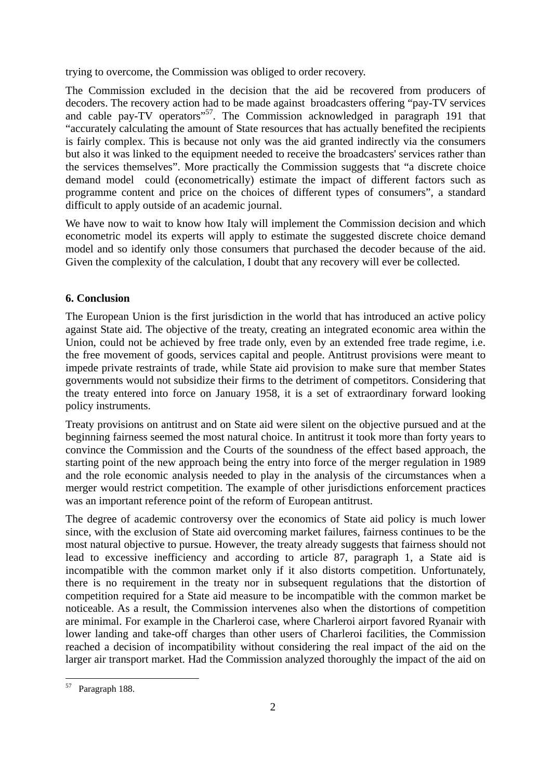trying to overcome, the Commission was obliged to order recovery.

The Commission excluded in the decision that the aid be recovered from producers of decoders. The recovery action had to be made against broadcasters offering "pay-TV services and cable pay-TV operators<sup>"57</sup>. The Commission acknowledged in paragraph 191 that "accurately calculating the amount of State resources that has actually benefited the recipients is fairly complex. This is because not only was the aid granted indirectly via the consumers but also it was linked to the equipment needed to receive the broadcasters' services rather than the services themselves". More practically the Commission suggests that "a discrete choice demand model could (econometrically) estimate the impact of different factors such as programme content and price on the choices of different types of consumers", a standard difficult to apply outside of an academic journal.

We have now to wait to know how Italy will implement the Commission decision and which econometric model its experts will apply to estimate the suggested discrete choice demand model and so identify only those consumers that purchased the decoder because of the aid. Given the complexity of the calculation, I doubt that any recovery will ever be collected.

# **6. Conclusion**

The European Union is the first jurisdiction in the world that has introduced an active policy against State aid. The objective of the treaty, creating an integrated economic area within the Union, could not be achieved by free trade only, even by an extended free trade regime, i.e. the free movement of goods, services capital and people. Antitrust provisions were meant to impede private restraints of trade, while State aid provision to make sure that member States governments would not subsidize their firms to the detriment of competitors. Considering that the treaty entered into force on January 1958, it is a set of extraordinary forward looking policy instruments.

Treaty provisions on antitrust and on State aid were silent on the objective pursued and at the beginning fairness seemed the most natural choice. In antitrust it took more than forty years to convince the Commission and the Courts of the soundness of the effect based approach, the starting point of the new approach being the entry into force of the merger regulation in 1989 and the role economic analysis needed to play in the analysis of the circumstances when a merger would restrict competition. The example of other jurisdictions enforcement practices was an important reference point of the reform of European antitrust.

The degree of academic controversy over the economics of State aid policy is much lower since, with the exclusion of State aid overcoming market failures, fairness continues to be the most natural objective to pursue. However, the treaty already suggests that fairness should not lead to excessive inefficiency and according to article 87, paragraph 1, a State aid is incompatible with the common market only if it also distorts competition. Unfortunately, there is no requirement in the treaty nor in subsequent regulations that the distortion of competition required for a State aid measure to be incompatible with the common market be noticeable. As a result, the Commission intervenes also when the distortions of competition are minimal. For example in the Charleroi case, where Charleroi airport favored Ryanair with lower landing and take-off charges than other users of Charleroi facilities, the Commission reached a decision of incompatibility without considering the real impact of the aid on the larger air transport market. Had the Commission analyzed thoroughly the impact of the aid on

<sup>1</sup> 57 Paragraph 188.